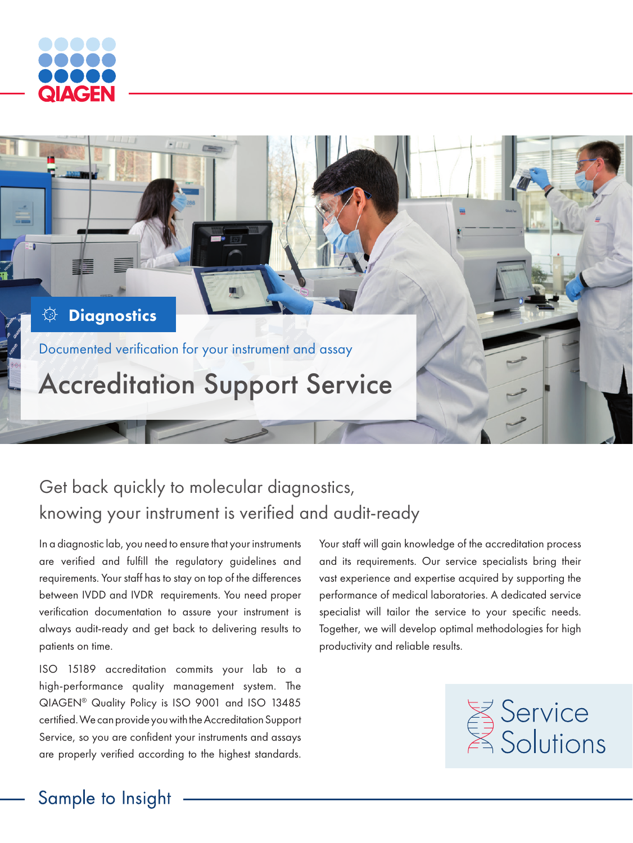



# Get back quickly to molecular diagnostics, knowing your instrument is verified and audit-ready

In a diagnostic lab, you need to ensure that your instruments are verified and fulfill the regulatory guidelines and requirements. Your staff has to stay on top of the differences between IVDD and IVDR requirements. You need proper verification documentation to assure your instrument is always audit-ready and get back to delivering results to patients on time.

ISO 15189 accreditation commits your lab to a high-performance quality management system. The QIAGEN® Quality Policy is ISO 9001 and ISO 13485 certified. We can provide you with the Accreditation Support Service, so you are confident your instruments and assays are properly verified according to the highest standards.

Your staff will gain knowledge of the accreditation process and its requirements. Our service specialists bring their vast experience and expertise acquired by supporting the performance of medical laboratories. A dedicated service specialist will tailor the service to your specific needs. Together, we will develop optimal methodologies for high productivity and reliable results.